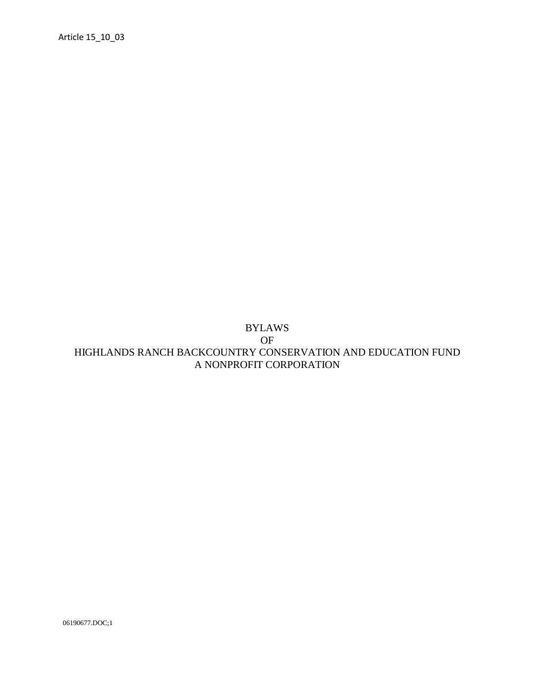# BYLAWS OF HIGHLANDS RANCH BACKCOUNTRY CONSERVATION AND EDUCATION FUND A NONPROFIT CORPORATION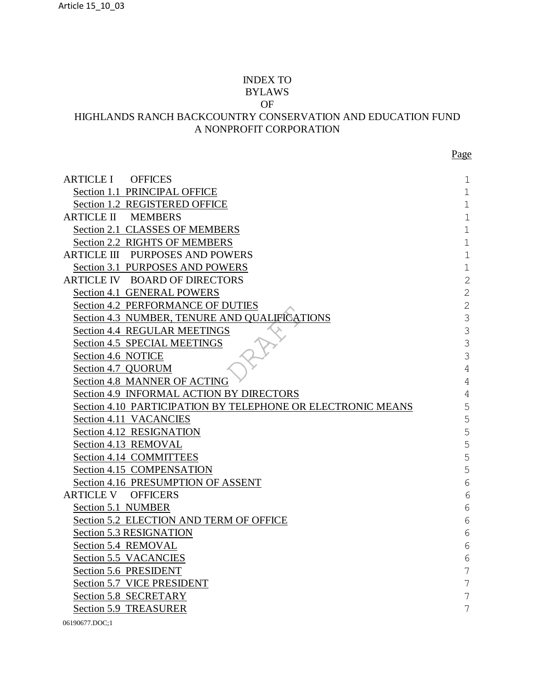# INDEX TO

# BYLAWS

# OF

# HIGHLANDS RANCH BACKCOUNTRY CONSERVATION AND EDUCATION FUND A NONPROFIT CORPORATION

| <b>ARTICLE I OFFICES</b>                                    | $\mathbf 1$     |
|-------------------------------------------------------------|-----------------|
| Section 1.1 PRINCIPAL OFFICE                                | $\mathbf 1$     |
| Section 1.2 REGISTERED OFFICE                               | $\mathbf{1}$    |
| <b>ARTICLE II MEMBERS</b>                                   | $\mathbf{1}$    |
| Section 2.1 CLASSES OF MEMBERS                              | $\mathbf{1}$    |
| Section 2.2 RIGHTS OF MEMBERS                               | $\mathbf{1}$    |
| ARTICLE III PURPOSES AND POWERS                             | $\overline{1}$  |
| Section 3.1 PURPOSES AND POWERS                             | $\mathbf{1}$    |
| ARTICLE IV BOARD OF DIRECTORS                               | $\overline{2}$  |
| Section 4.1 GENERAL POWERS                                  | $\overline{2}$  |
| Section 4.2 PERFORMANCE OF DUTIES                           | $\overline{2}$  |
| Section 4.3 NUMBER, TENURE AND QUALIFICATIONS               | $\overline{3}$  |
| Section 4.4 REGULAR MEETINGS                                | $\overline{3}$  |
| Section 4.5 SPECIAL MEETINGS                                | $\mathfrak{Z}$  |
| Section 4.6 NOTICE                                          | $\overline{3}$  |
| Section 4.7 QUORUM                                          | $\sqrt{4}$      |
| Section 4.8 MANNER OF ACTING                                | $\sqrt{4}$      |
| Section 4.9 INFORMAL ACTION BY DIRECTORS                    | $\sqrt{4}$      |
| Section 4.10 PARTICIPATION BY TELEPHONE OR ELECTRONIC MEANS | 5               |
| Section 4.11 VACANCIES                                      | 5               |
| Section 4.12 RESIGNATION                                    | 5               |
| Section 4.13 REMOVAL                                        | 5               |
| Section 4.14 COMMITTEES                                     | 5               |
| Section 4.15 COMPENSATION                                   | $\overline{5}$  |
| Section 4.16 PRESUMPTION OF ASSENT                          | 6               |
| <b>ARTICLE V OFFICERS</b>                                   | 6               |
| Section 5.1 NUMBER                                          | 6               |
| Section 5.2 ELECTION AND TERM OF OFFICE                     | $6\phantom{1}6$ |
| Section 5.3 RESIGNATION                                     | 6               |
| Section 5.4 REMOVAL                                         | 6               |
| Section 5.5 VACANCIES                                       | $6\phantom{1}6$ |
| Section 5.6 PRESIDENT                                       | $\overline{7}$  |
| Section 5.7 VICE PRESIDENT                                  | 7               |
| Section 5.8 SECRETARY                                       | 7               |
| Section 5.9 TREASURER                                       | 7               |
|                                                             |                 |

06190677.DOC;1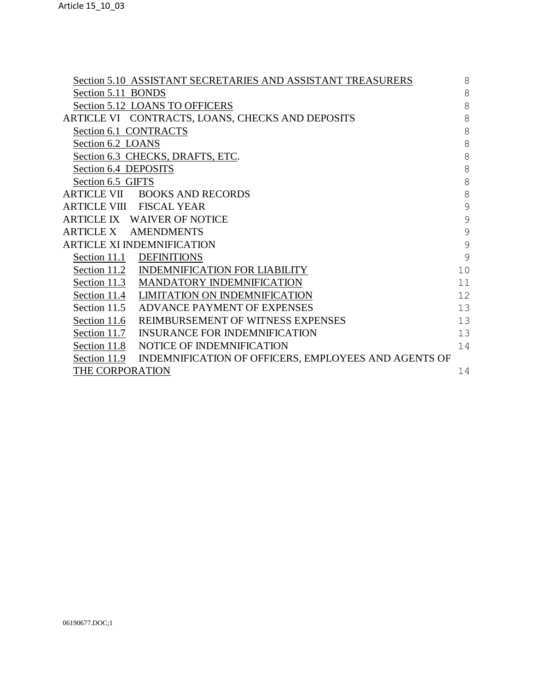| Section 5.10 ASSISTANT SECRETARIES AND ASSISTANT TREASURERS          | 8  |
|----------------------------------------------------------------------|----|
| Section 5.11 BONDS                                                   | 8  |
| Section 5.12 LOANS TO OFFICERS                                       | 8  |
| ARTICLE VI CONTRACTS, LOANS, CHECKS AND DEPOSITS                     | 8  |
| Section 6.1 CONTRACTS                                                | 8  |
| Section 6.2 LOANS                                                    | 8  |
| Section 6.3 CHECKS, DRAFTS, ETC.                                     | 8  |
| Section 6.4 DEPOSITS                                                 | 8  |
| Section 6.5 GIFTS                                                    | 8  |
| ARTICLE VII BOOKS AND RECORDS                                        | 8  |
| ARTICLE VIII FISCAL YEAR                                             | 9  |
| ARTICLE IX WAIVER OF NOTICE                                          | 9  |
| ARTICLE X<br><b>AMENDMENTS</b>                                       | 9  |
| <b>ARTICLE XI INDEMNIFICATION</b>                                    | 9  |
| Section 11.1<br><b>DEFINITIONS</b>                                   | 9  |
| Section 11.2 INDEMNIFICATION FOR LIABILITY                           | 10 |
| Section 11.3<br>MANDATORY INDEMNIFICATION                            | 11 |
| Section $11.4$<br>LIMITATION ON INDEMNIFICATION                      | 12 |
| Section 11.5<br>ADVANCE PAYMENT OF EXPENSES                          | 13 |
| REIMBURSEMENT OF WITNESS EXPENSES<br>Section 11.6                    | 13 |
| <b>INSURANCE FOR INDEMNIFICATION</b><br>Section 11.7                 | 13 |
| NOTICE OF INDEMNIFICATION<br>Section 11.8                            | 14 |
| INDEMNIFICATION OF OFFICERS, EMPLOYEES AND AGENTS OF<br>Section 11.9 |    |
| THE CORPORATION                                                      | 14 |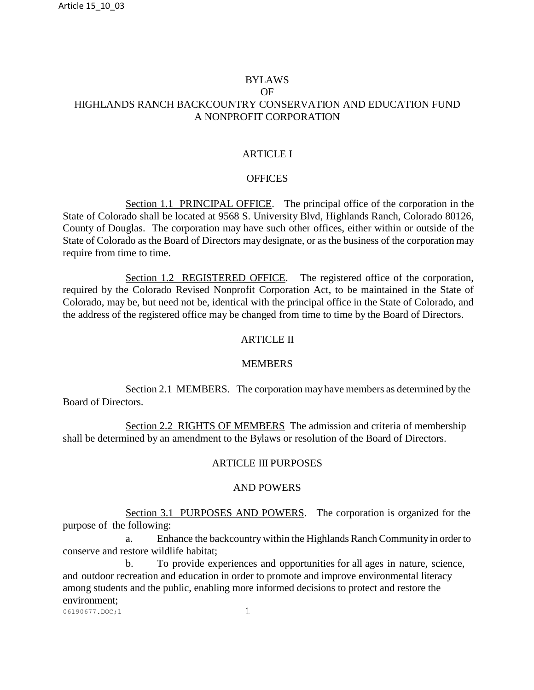# BYLAWS OF HIGHLANDS RANCH BACKCOUNTRY CONSERVATION AND EDUCATION FUND A NONPROFIT CORPORATION

# ARTICLE I

### OFFICES

Section 1.1 PRINCIPAL OFFICE. The principal office of the corporation in the State of Colorado shall be located at 9568 S. University Blvd, Highlands Ranch, Colorado 80126, County of Douglas. The corporation may have such other offices, either within or outside of the State of Colorado as the Board of Directors may designate, or as the business of the corporation may require from time to time.

Section 1.2 REGISTERED OFFICE. The registered office of the corporation, required by the Colorado Revised Nonprofit Corporation Act, to be maintained in the State of Colorado, may be, but need not be, identical with the principal office in the State of Colorado, and the address of the registered office may be changed from time to time by the Board of Directors.

# ARTICLE II

### **MEMBERS**

Section 2.1 MEMBERS. The corporation may have members as determined by the Board of Directors.

Section 2.2 RIGHTS OF MEMBERS The admission and criteria of membership shall be determined by an amendment to the Bylaws or resolution of the Board of Directors.

### ARTICLE III PURPOSES

#### AND POWERS

Section 3.1 PURPOSES AND POWERS. The corporation is organized for the purpose of the following:

a. Enhance the backcountry within the Highlands Ranch Community in order to conserve and restore wildlife habitat;

b. To provide experiences and opportunities for all ages in nature, science, and outdoor recreation and education in order to promote and improve environmental literacy among students and the public, enabling more informed decisions to protect and restore the environment;

06190677.DOC:1 1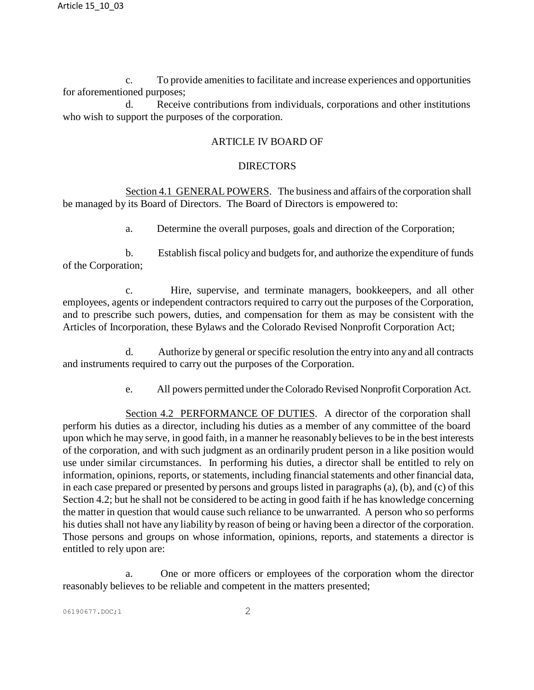c. To provide amenities to facilitate and increase experiences and opportunities for aforementioned purposes;

Receive contributions from individuals, corporations and other institutions who wish to support the purposes of the corporation.

# ARTICLE IV BOARD OF

#### DIRECTORS

Section 4.1 GENERAL POWERS. The business and affairs of the corporation shall be managed by its Board of Directors. The Board of Directors is empowered to:

a. Determine the overall purposes, goals and direction of the Corporation;

b. Establish fiscal policy and budgets for, and authorize the expenditure of funds of the Corporation;

c. Hire, supervise, and terminate managers, bookkeepers, and all other employees, agents or independent contractors required to carry out the purposes of the Corporation, and to prescribe such powers, duties, and compensation for them as may be consistent with the Articles of Incorporation, these Bylaws and the Colorado Revised Nonprofit Corporation Act;

d. Authorize by general or specific resolution the entry into any and all contracts and instruments required to carry out the purposes of the Corporation.

e. All powers permitted under the Colorado Revised Nonprofit Corporation Act.

Section 4.2 PERFORMANCE OF DUTIES. A director of the corporation shall perform his duties as a director, including his duties as a member of any committee of the board upon which he may serve, in good faith, in a manner he reasonably believes to be in the best interests of the corporation, and with such judgment as an ordinarily prudent person in a like position would use under similar circumstances. In performing his duties, a director shall be entitled to rely on information, opinions, reports, or statements, including financial statements and other financial data, in each case prepared or presented by persons and groups listed in paragraphs (a), (b), and (c) of this Section 4.2; but he shall not be considered to be acting in good faith if he has knowledge concerning the matter in question that would cause such reliance to be unwarranted. A person who so performs his duties shall not have any liability by reason of being or having been a director of the corporation. Those persons and groups on whose information, opinions, reports, and statements a director is entitled to rely upon are:

a. One or more officers or employees of the corporation whom the director reasonably believes to be reliable and competent in the matters presented;

06190677.DOC;1 2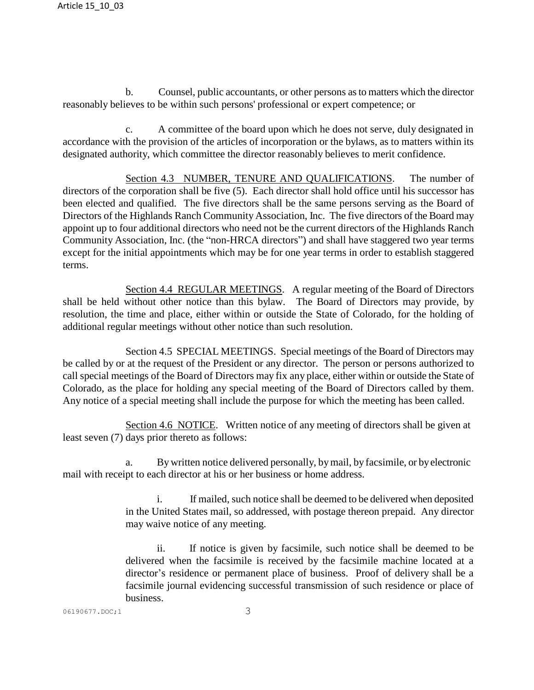b. Counsel, public accountants, or other persons asto matters which the director reasonably believes to be within such persons' professional or expert competence; or

c. A committee of the board upon which he does not serve, duly designated in accordance with the provision of the articles of incorporation or the bylaws, as to matters within its designated authority, which committee the director reasonably believes to merit confidence.

Section 4.3 NUMBER, TENURE AND QUALIFICATIONS. The number of directors of the corporation shall be five (5). Each director shall hold office until his successor has been elected and qualified. The five directors shall be the same persons serving as the Board of Directors of the Highlands Ranch Community Association, Inc. The five directors of the Board may appoint up to four additional directors who need not be the current directors of the Highlands Ranch Community Association, Inc. (the "non-HRCA directors") and shall have staggered two year terms except for the initial appointments which may be for one year terms in order to establish staggered terms.

Section 4.4 REGULAR MEETINGS. A regular meeting of the Board of Directors shall be held without other notice than this bylaw. The Board of Directors may provide, by resolution, the time and place, either within or outside the State of Colorado, for the holding of additional regular meetings without other notice than such resolution.

Section 4.5 SPECIAL MEETINGS. Special meetings of the Board of Directors may be called by or at the request of the President or any director. The person or persons authorized to call special meetings of the Board of Directors may fix any place, either within or outside the State of Colorado, as the place for holding any special meeting of the Board of Directors called by them. Any notice of a special meeting shall include the purpose for which the meeting has been called.

Section 4.6 NOTICE. Written notice of any meeting of directors shall be given at least seven (7) days prior thereto as follows:

a. Bywritten notice delivered personally, bymail, by facsimile, or byelectronic mail with receipt to each director at his or her business or home address.

> i. If mailed, such notice shall be deemed to be delivered when deposited in the United States mail, so addressed, with postage thereon prepaid. Any director may waive notice of any meeting.

> ii. If notice is given by facsimile, such notice shall be deemed to be delivered when the facsimile is received by the facsimile machine located at a director's residence or permanent place of business. Proof of delivery shall be a facsimile journal evidencing successful transmission of such residence or place of business.

06190677.DOC;1 3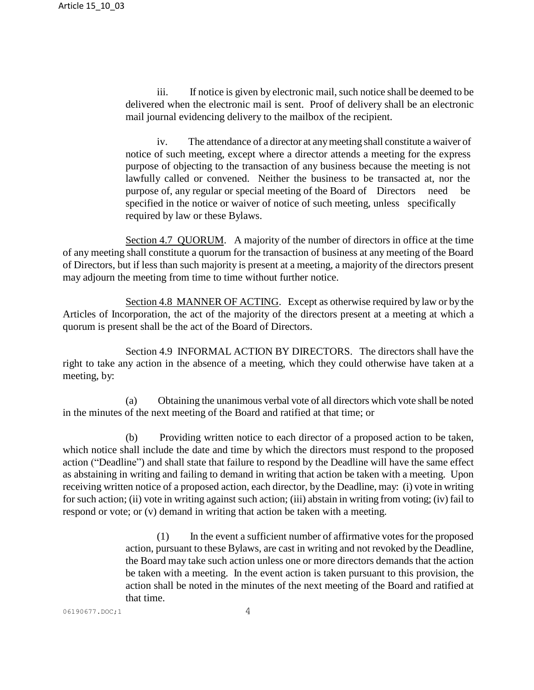iii. If notice is given by electronic mail, such notice shall be deemed to be delivered when the electronic mail is sent. Proof of delivery shall be an electronic mail journal evidencing delivery to the mailbox of the recipient.

iv. The attendance of a director at anymeeting shall constitute a waiver of notice of such meeting, except where a director attends a meeting for the express purpose of objecting to the transaction of any business because the meeting is not lawfully called or convened. Neither the business to be transacted at, nor the purpose of, any regular or special meeting of the Board of Directors need be specified in the notice or waiver of notice of such meeting, unless specifically required by law or these Bylaws.

Section 4.7 QUORUM. A majority of the number of directors in office at the time of any meeting shall constitute a quorum for the transaction of business at any meeting of the Board of Directors, but if less than such majority is present at a meeting, a majority of the directors present may adjourn the meeting from time to time without further notice.

Section 4.8 MANNER OF ACTING. Except as otherwise required by law or by the Articles of Incorporation, the act of the majority of the directors present at a meeting at which a quorum is present shall be the act of the Board of Directors.

Section 4.9 INFORMAL ACTION BY DIRECTORS. The directors shall have the right to take any action in the absence of a meeting, which they could otherwise have taken at a meeting, by:

(a) Obtaining the unanimous verbal vote of all directors which vote shall be noted in the minutes of the next meeting of the Board and ratified at that time; or

(b) Providing written notice to each director of a proposed action to be taken, which notice shall include the date and time by which the directors must respond to the proposed action ("Deadline") and shall state that failure to respond by the Deadline will have the same effect as abstaining in writing and failing to demand in writing that action be taken with a meeting. Upon receiving written notice of a proposed action, each director, by the Deadline, may: (i) vote in writing for such action; (ii) vote in writing against such action; (iii) abstain in writing from voting; (iv) fail to respond or vote; or (v) demand in writing that action be taken with a meeting.

> (1) In the event a sufficient number of affirmative votes for the proposed action, pursuant to these Bylaws, are cast in writing and not revoked by the Deadline, the Board may take such action unless one or more directors demands that the action be taken with a meeting. In the event action is taken pursuant to this provision, the action shall be noted in the minutes of the next meeting of the Board and ratified at that time.

06190677.DOC:1 4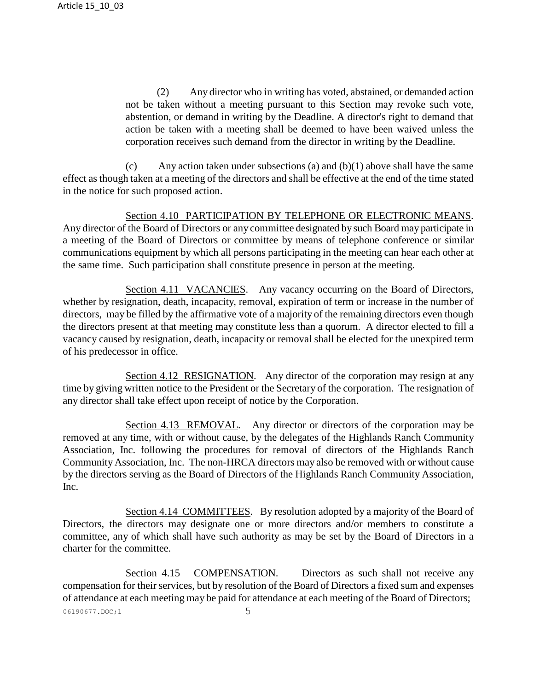(2) Any director who in writing has voted, abstained, or demanded action not be taken without a meeting pursuant to this Section may revoke such vote, abstention, or demand in writing by the Deadline. A director's right to demand that action be taken with a meeting shall be deemed to have been waived unless the corporation receives such demand from the director in writing by the Deadline.

(c) Any action taken under subsections (a) and  $(b)(1)$  above shall have the same effect as though taken at a meeting of the directors and shall be effective at the end of the time stated in the notice for such proposed action.

#### Section 4.10 PARTICIPATION BY TELEPHONE OR ELECTRONIC MEANS.

Any director of the Board of Directors or any committee designated by such Board may participate in a meeting of the Board of Directors or committee by means of telephone conference or similar communications equipment by which all persons participating in the meeting can hear each other at the same time. Such participation shall constitute presence in person at the meeting.

Section 4.11 VACANCIES. Any vacancy occurring on the Board of Directors, whether by resignation, death, incapacity, removal, expiration of term or increase in the number of directors, may be filled by the affirmative vote of a majority of the remaining directors even though the directors present at that meeting may constitute less than a quorum. A director elected to fill a vacancy caused by resignation, death, incapacity or removal shall be elected for the unexpired term of his predecessor in office.

Section 4.12 RESIGNATION. Any director of the corporation may resign at any time by giving written notice to the President or the Secretary of the corporation. The resignation of any director shall take effect upon receipt of notice by the Corporation.

Section 4.13 REMOVAL. Any director or directors of the corporation may be removed at any time, with or without cause, by the delegates of the Highlands Ranch Community Association, Inc. following the procedures for removal of directors of the Highlands Ranch Community Association, Inc. The non-HRCA directors may also be removed with or without cause by the directors serving as the Board of Directors of the Highlands Ranch Community Association, Inc.

Section 4.14 COMMITTEES. By resolution adopted by a majority of the Board of Directors, the directors may designate one or more directors and/or members to constitute a committee, any of which shall have such authority as may be set by the Board of Directors in a charter for the committee.

 $06190677 \cdot \text{DOC}:1$  5 Section 4.15 COMPENSATION. Directors as such shall not receive any compensation for their services, but by resolution of the Board of Directors a fixed sum and expenses of attendance at each meeting may be paid for attendance at each meeting of the Board of Directors;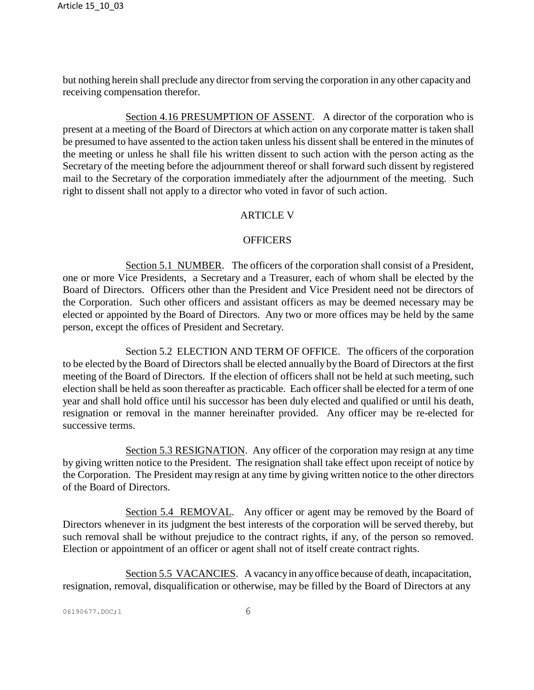but nothing herein shall preclude any director from serving the corporation in any other capacityand receiving compensation therefor.

Section 4.16 PRESUMPTION OF ASSENT. A director of the corporation who is present at a meeting of the Board of Directors at which action on any corporate matter is taken shall be presumed to have assented to the action taken unless his dissent shall be entered in the minutes of the meeting or unless he shall file his written dissent to such action with the person acting as the Secretary of the meeting before the adjournment thereof or shall forward such dissent by registered mail to the Secretary of the corporation immediately after the adjournment of the meeting. Such right to dissent shall not apply to a director who voted in favor of such action.

# ARTICLE V

# **OFFICERS**

Section 5.1 NUMBER. The officers of the corporation shall consist of a President, one or more Vice Presidents, a Secretary and a Treasurer, each of whom shall be elected by the Board of Directors. Officers other than the President and Vice President need not be directors of the Corporation. Such other officers and assistant officers as may be deemed necessary may be elected or appointed by the Board of Directors. Any two or more offices may be held by the same person, except the offices of President and Secretary.

Section 5.2 ELECTION AND TERM OF OFFICE. The officers of the corporation to be elected by the Board of Directors shall be elected annually by the Board of Directors at the first meeting of the Board of Directors. If the election of officers shall not be held at such meeting, such election shall be held as soon thereafter as practicable. Each officer shall be elected for a term of one year and shall hold office until his successor has been duly elected and qualified or until his death, resignation or removal in the manner hereinafter provided. Any officer may be re-elected for successive terms.

Section 5.3 RESIGNATION. Any officer of the corporation may resign at any time by giving written notice to the President. The resignation shall take effect upon receipt of notice by the Corporation. The President may resign at any time by giving written notice to the other directors of the Board of Directors.

Section 5.4 REMOVAL. Any officer or agent may be removed by the Board of Directors whenever in its judgment the best interests of the corporation will be served thereby, but such removal shall be without prejudice to the contract rights, if any, of the person so removed. Election or appointment of an officer or agent shall not of itself create contract rights.

Section 5.5 VACANCIES. A vacancy in any office because of death, incapacitation, resignation, removal, disqualification or otherwise, may be filled by the Board of Directors at any

```
06190677.DOC; 1 6
```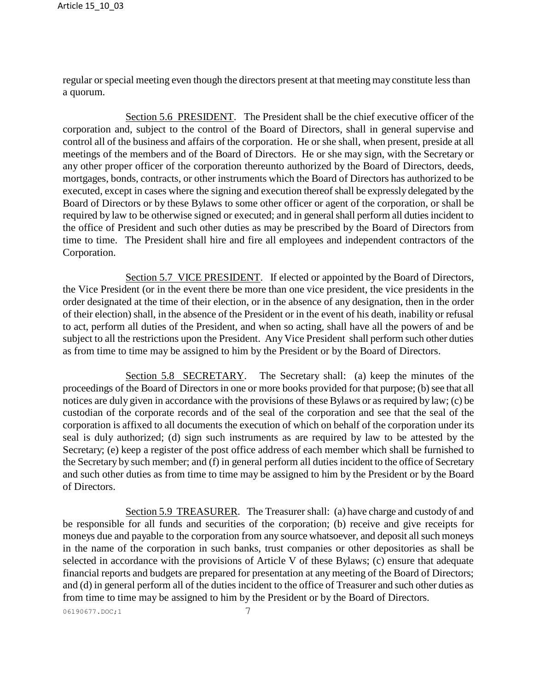regular or special meeting even though the directors present at that meeting may constitute lessthan a quorum.

Section 5.6 PRESIDENT. The President shall be the chief executive officer of the corporation and, subject to the control of the Board of Directors, shall in general supervise and control all of the business and affairs of the corporation. He or she shall, when present, preside at all meetings of the members and of the Board of Directors. He or she may sign, with the Secretary or any other proper officer of the corporation thereunto authorized by the Board of Directors, deeds, mortgages, bonds, contracts, or other instruments which the Board of Directors has authorized to be executed, except in cases where the signing and execution thereof shall be expressly delegated by the Board of Directors or by these Bylaws to some other officer or agent of the corporation, or shall be required by law to be otherwise signed or executed; and in general shall perform all duties incident to the office of President and such other duties as may be prescribed by the Board of Directors from time to time. The President shall hire and fire all employees and independent contractors of the Corporation.

Section 5.7 VICE PRESIDENT. If elected or appointed by the Board of Directors, the Vice President (or in the event there be more than one vice president, the vice presidents in the order designated at the time of their election, or in the absence of any designation, then in the order of their election) shall, in the absence of the President or in the event of his death, inability or refusal to act, perform all duties of the President, and when so acting, shall have all the powers of and be subject to all the restrictions upon the President. Any Vice President shall perform such other duties as from time to time may be assigned to him by the President or by the Board of Directors.

Section 5.8 SECRETARY. The Secretary shall: (a) keep the minutes of the proceedings of the Board of Directors in one or more books provided for that purpose; (b) see that all notices are duly given in accordance with the provisions of these Bylaws or as required by law; (c) be custodian of the corporate records and of the seal of the corporation and see that the seal of the corporation is affixed to all documents the execution of which on behalf of the corporation under its seal is duly authorized; (d) sign such instruments as are required by law to be attested by the Secretary; (e) keep a register of the post office address of each member which shall be furnished to the Secretary by such member; and (f) in general perform all duties incident to the office of Secretary and such other duties as from time to time may be assigned to him by the President or by the Board of Directors.

Section 5.9 TREASURER. The Treasurer shall: (a) have charge and custody of and be responsible for all funds and securities of the corporation; (b) receive and give receipts for moneys due and payable to the corporation from any source whatsoever, and deposit all such moneys in the name of the corporation in such banks, trust companies or other depositories as shall be selected in accordance with the provisions of Article V of these Bylaws; (c) ensure that adequate financial reports and budgets are prepared for presentation at anymeeting of the Board of Directors; and (d) in general perform all of the duties incident to the office of Treasurer and such other duties as from time to time may be assigned to him by the President or by the Board of Directors.

06190677. DOC: 1 7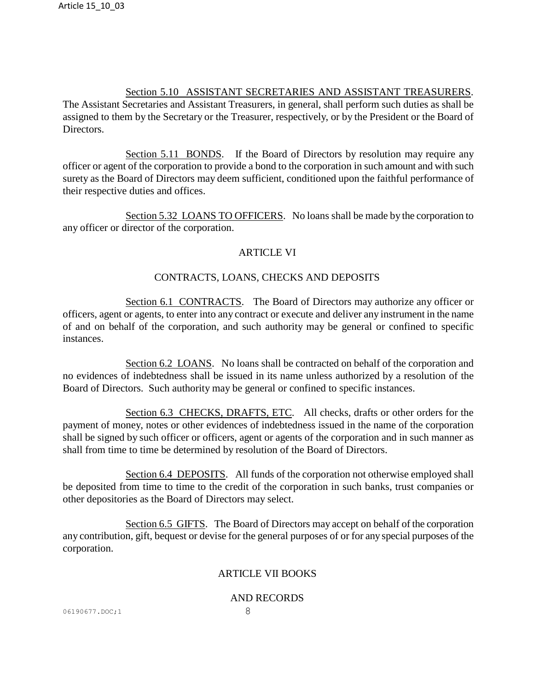# Section 5.10 ASSISTANT SECRETARIES AND ASSISTANT TREASURERS.

The Assistant Secretaries and Assistant Treasurers, in general, shall perform such duties as shall be assigned to them by the Secretary or the Treasurer, respectively, or by the President or the Board of Directors.

Section 5.11 BONDS. If the Board of Directors by resolution may require any officer or agent of the corporation to provide a bond to the corporation in such amount and with such surety as the Board of Directors may deem sufficient, conditioned upon the faithful performance of their respective duties and offices.

Section 5.32 LOANS TO OFFICERS. No loans shall be made by the corporation to any officer or director of the corporation.

# ARTICLE VI

# CONTRACTS, LOANS, CHECKS AND DEPOSITS

Section 6.1 CONTRACTS. The Board of Directors may authorize any officer or officers, agent or agents, to enter into any contract or execute and deliver any instrument in the name of and on behalf of the corporation, and such authority may be general or confined to specific instances.

Section 6.2 LOANS. No loans shall be contracted on behalf of the corporation and no evidences of indebtedness shall be issued in its name unless authorized by a resolution of the Board of Directors. Such authority may be general or confined to specific instances.

Section 6.3 CHECKS, DRAFTS, ETC. All checks, drafts or other orders for the payment of money, notes or other evidences of indebtedness issued in the name of the corporation shall be signed by such officer or officers, agent or agents of the corporation and in such manner as shall from time to time be determined by resolution of the Board of Directors.

Section 6.4 DEPOSITS. All funds of the corporation not otherwise employed shall be deposited from time to time to the credit of the corporation in such banks, trust companies or other depositories as the Board of Directors may select.

Section 6.5 GIFTS. The Board of Directors may accept on behalf of the corporation any contribution, gift, bequest or devise for the general purposes of or for any special purposes of the corporation.

#### ARTICLE VII BOOKS

#### AND RECORDS

06190677. DOC: 1 8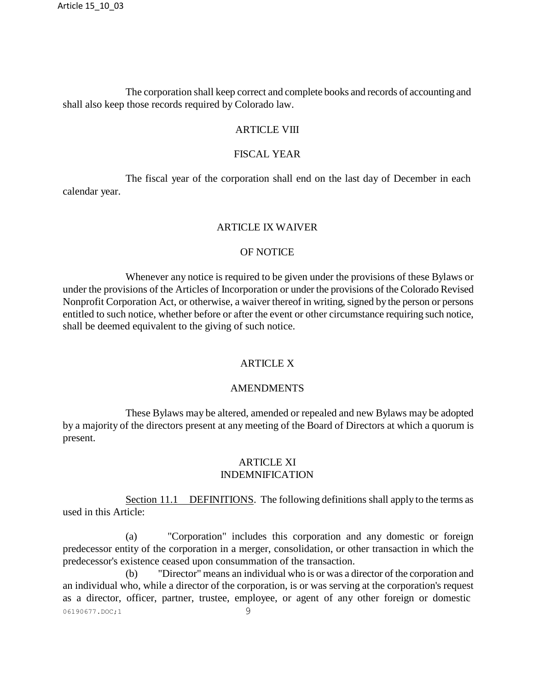The corporation shall keep correct and complete books and records of accounting and shall also keep those records required by Colorado law.

# ARTICLE VIII

### FISCAL YEAR

calendar year. The fiscal year of the corporation shall end on the last day of December in each

#### ARTICLE IX WAIVER

#### OF NOTICE

Whenever any notice is required to be given under the provisions of these Bylaws or under the provisions of the Articles of Incorporation or under the provisions of the Colorado Revised Nonprofit Corporation Act, or otherwise, a waiver thereof in writing, signed by the person or persons entitled to such notice, whether before or after the event or other circumstance requiring such notice, shall be deemed equivalent to the giving of such notice.

#### ARTICLE X

#### AMENDMENTS

These Bylaws may be altered, amended or repealed and new Bylaws may be adopted by a majority of the directors present at any meeting of the Board of Directors at which a quorum is present.

# ARTICLE XI INDEMNIFICATION

Section 11.1 DEFINITIONS. The following definitions shall apply to the terms as used in this Article:

(a) "Corporation" includes this corporation and any domestic or foreign predecessor entity of the corporation in a merger, consolidation, or other transaction in which the predecessor's existence ceased upon consummation of the transaction.

06190677.DOC:1 (b) "Director" means an individual who is or was a director of the corporation and an individual who, while a director of the corporation, is or was serving at the corporation's request as a director, officer, partner, trustee, employee, or agent of any other foreign or domestic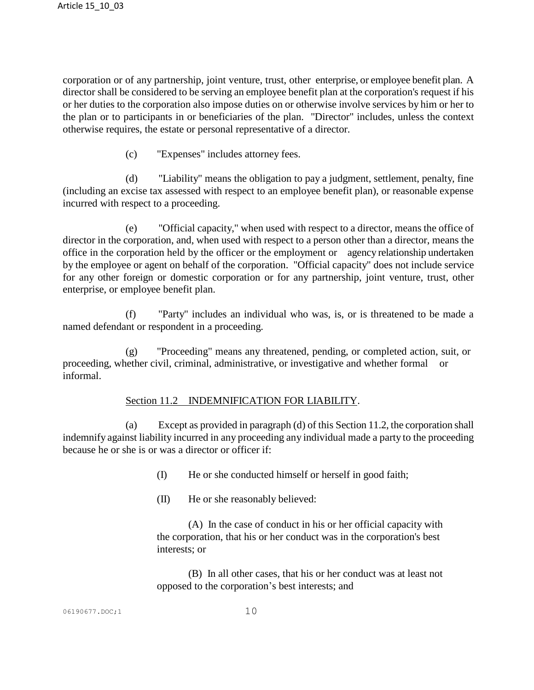corporation or of any partnership, joint venture, trust, other enterprise, or employee benefit plan. A director shall be considered to be serving an employee benefit plan at the corporation's request if his or her duties to the corporation also impose duties on or otherwise involve services by him or her to the plan or to participants in or beneficiaries of the plan. "Director" includes, unless the context otherwise requires, the estate or personal representative of a director.

(c) "Expenses" includes attorney fees.

(d) "Liability" means the obligation to pay a judgment, settlement, penalty, fine (including an excise tax assessed with respect to an employee benefit plan), or reasonable expense incurred with respect to a proceeding.

(e) "Official capacity," when used with respect to a director, means the office of director in the corporation, and, when used with respect to a person other than a director, means the office in the corporation held by the officer or the employment or agency relationship undertaken by the employee or agent on behalf of the corporation. "Official capacity" does not include service for any other foreign or domestic corporation or for any partnership, joint venture, trust, other enterprise, or employee benefit plan.

(f) "Party" includes an individual who was, is, or is threatened to be made a named defendant or respondent in a proceeding.

(g) "Proceeding" means any threatened, pending, or completed action, suit, or proceeding, whether civil, criminal, administrative, or investigative and whether formal or informal.

# Section 11.2 INDEMNIFICATION FOR LIABILITY.

(a) Except as provided in paragraph (d) of this Section 11.2, the corporation shall indemnify against liability incurred in any proceeding any individual made a party to the proceeding because he or she is or was a director or officer if:

- (I) He or she conducted himself or herself in good faith;
- (II) He or she reasonably believed:

(A) In the case of conduct in his or her official capacity with the corporation, that his or her conduct was in the corporation's best interests; or

(B) In all other cases, that his or her conduct was at least not opposed to the corporation's best interests; and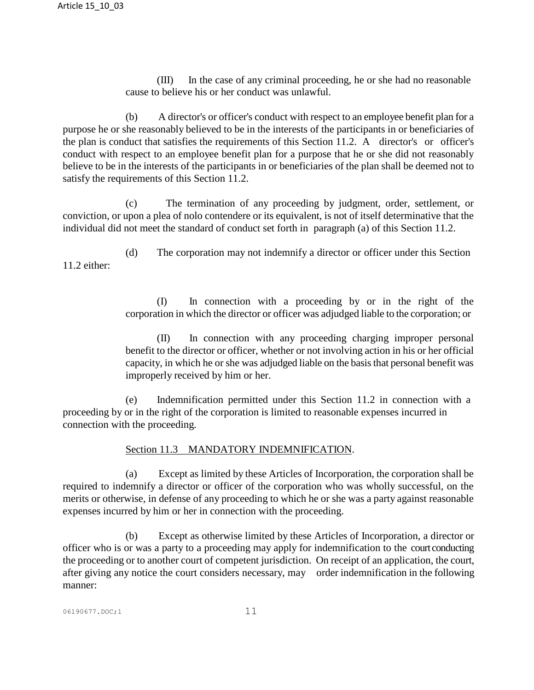(III) In the case of any criminal proceeding, he or she had no reasonable cause to believe his or her conduct was unlawful.

(b) A director's or officer's conduct with respect to an employee benefit plan for a purpose he or she reasonably believed to be in the interests of the participants in or beneficiaries of the plan is conduct that satisfies the requirements of this Section 11.2. A director's or officer's conduct with respect to an employee benefit plan for a purpose that he or she did not reasonably believe to be in the interests of the participants in or beneficiaries of the plan shall be deemed not to satisfy the requirements of this Section 11.2.

(c) The termination of any proceeding by judgment, order, settlement, or conviction, or upon a plea of nolo contendere or its equivalent, is not of itself determinative that the individual did not meet the standard of conduct set forth in paragraph (a) of this Section 11.2.

11.2 either: (d) The corporation may not indemnify a director or officer under this Section

> (I) In connection with a proceeding by or in the right of the corporation in which the director or officer was adjudged liable to the corporation; or

> (II) In connection with any proceeding charging improper personal benefit to the director or officer, whether or not involving action in his or her official capacity, in which he or she was adjudged liable on the basisthat personal benefit was improperly received by him or her.

(e) Indemnification permitted under this Section 11.2 in connection with a proceeding by or in the right of the corporation is limited to reasonable expenses incurred in connection with the proceeding.

# Section 11.3 MANDATORY INDEMNIFICATION.

(a) Except as limited by these Articles of Incorporation, the corporation shall be required to indemnify a director or officer of the corporation who was wholly successful, on the merits or otherwise, in defense of any proceeding to which he or she was a party against reasonable expenses incurred by him or her in connection with the proceeding.

(b) Except as otherwise limited by these Articles of Incorporation, a director or officer who is or was a party to a proceeding may apply for indemnification to the court conducting the proceeding or to another court of competent jurisdiction. On receipt of an application, the court, after giving any notice the court considers necessary, may order indemnification in the following manner:

06190677. DOC; 1 11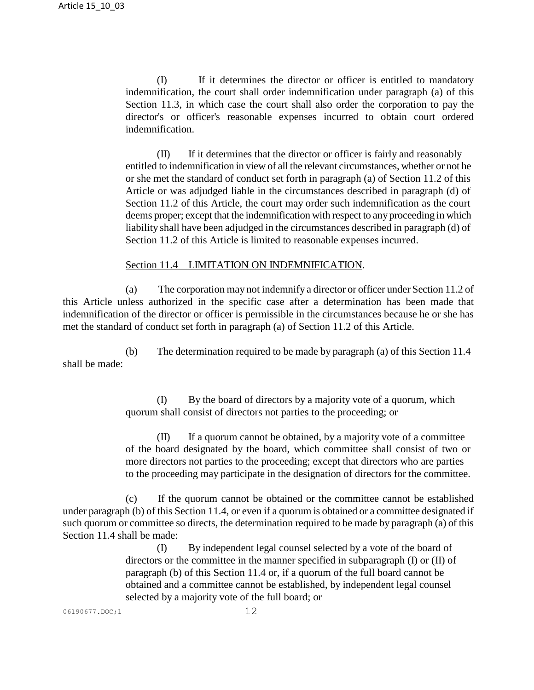(I) If it determines the director or officer is entitled to mandatory indemnification, the court shall order indemnification under paragraph (a) of this Section 11.3, in which case the court shall also order the corporation to pay the director's or officer's reasonable expenses incurred to obtain court ordered indemnification.

(II) If it determines that the director or officer is fairly and reasonably entitled to indemnification in view of all the relevant circumstances, whether or not he or she met the standard of conduct set forth in paragraph (a) of Section 11.2 of this Article or was adjudged liable in the circumstances described in paragraph (d) of Section 11.2 of this Article, the court may order such indemnification as the court deems proper; except that the indemnification with respect to anyproceeding in which liability shall have been adjudged in the circumstances described in paragraph (d) of Section 11.2 of this Article is limited to reasonable expenses incurred.

#### Section 11.4 LIMITATION ON INDEMNIFICATION.

(a) The corporation may not indemnify a director or officer under Section 11.2 of this Article unless authorized in the specific case after a determination has been made that indemnification of the director or officer is permissible in the circumstances because he or she has met the standard of conduct set forth in paragraph (a) of Section 11.2 of this Article.

shall be made: (b) The determination required to be made by paragraph (a) of this Section 11.4

> (I) By the board of directors by a majority vote of a quorum, which quorum shall consist of directors not parties to the proceeding; or

(II) If a quorum cannot be obtained, by a majority vote of a committee of the board designated by the board, which committee shall consist of two or more directors not parties to the proceeding; except that directors who are parties to the proceeding may participate in the designation of directors for the committee.

(c) If the quorum cannot be obtained or the committee cannot be established under paragraph (b) of this Section 11.4, or even if a quorum is obtained or a committee designated if such quorum or committee so directs, the determination required to be made by paragraph (a) of this Section 11.4 shall be made:

> (I) By independent legal counsel selected by a vote of the board of directors or the committee in the manner specified in subparagraph (I) or (II) of paragraph (b) of this Section 11.4 or, if a quorum of the full board cannot be obtained and a committee cannot be established, by independent legal counsel selected by a majority vote of the full board; or

06190677. DOC: 1  $12$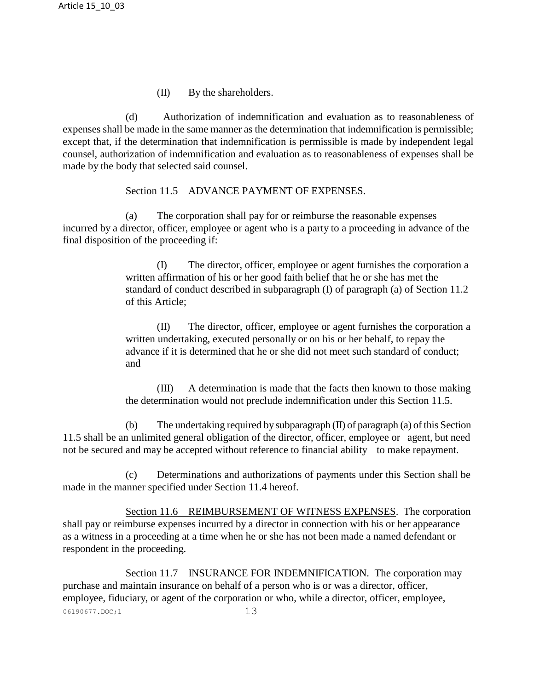(II) By the shareholders.

(d) Authorization of indemnification and evaluation as to reasonableness of expenses shall be made in the same manner as the determination that indemnification is permissible; except that, if the determination that indemnification is permissible is made by independent legal counsel, authorization of indemnification and evaluation as to reasonableness of expenses shall be made by the body that selected said counsel.

#### Section 11.5 ADVANCE PAYMENT OF EXPENSES.

(a) The corporation shall pay for or reimburse the reasonable expenses incurred by a director, officer, employee or agent who is a party to a proceeding in advance of the final disposition of the proceeding if:

> (I) The director, officer, employee or agent furnishes the corporation a written affirmation of his or her good faith belief that he or she has met the standard of conduct described in subparagraph (I) of paragraph (a) of Section 11.2 of this Article;

> (II) The director, officer, employee or agent furnishes the corporation a written undertaking, executed personally or on his or her behalf, to repay the advance if it is determined that he or she did not meet such standard of conduct; and

> (III) A determination is made that the facts then known to those making the determination would not preclude indemnification under this Section 11.5.

(b) The undertaking required by subparagraph (II) of paragraph (a) of this Section 11.5 shall be an unlimited general obligation of the director, officer, employee or agent, but need not be secured and may be accepted without reference to financial ability to make repayment.

(c) Determinations and authorizations of payments under this Section shall be made in the manner specified under Section 11.4 hereof.

Section 11.6 REIMBURSEMENT OF WITNESS EXPENSES. The corporation shall pay or reimburse expenses incurred by a director in connection with his or her appearance as a witness in a proceeding at a time when he or she has not been made a named defendant or respondent in the proceeding.

06190677.DOC;1 13 Section 11.7 INSURANCE FOR INDEMNIFICATION. The corporation may purchase and maintain insurance on behalf of a person who is or was a director, officer, employee, fiduciary, or agent of the corporation or who, while a director, officer, employee,